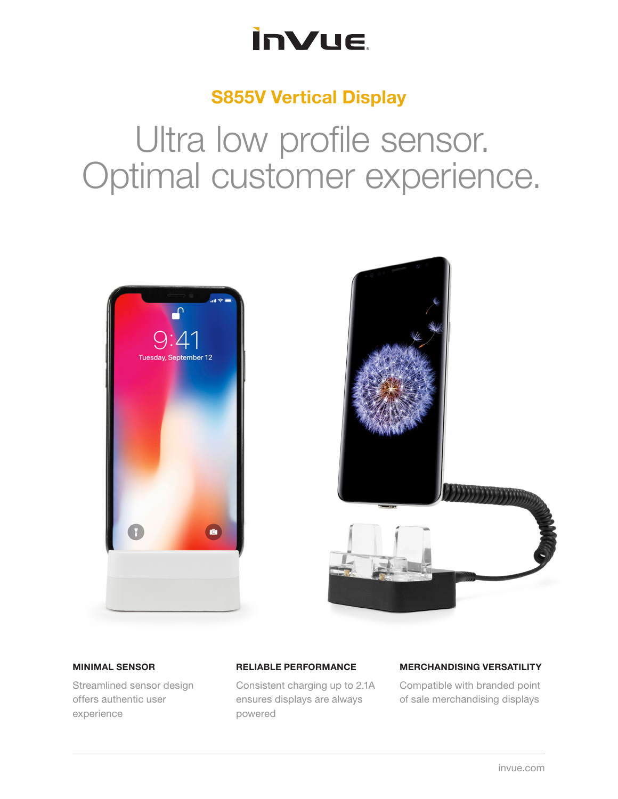### **InVue**

### S855V Vertical Display

# Ultra low profile sensor. Optimal customer experience.





#### MINIMAL SENSOR

Streamlined sensor design offers authentic user experience

#### RELIABLE PERFORMANCE

Consistent charging up to 2.1A ensures displays are always powered

#### MERCHANDISING VERSATILITY

Compatible with branded point of sale merchandising displays